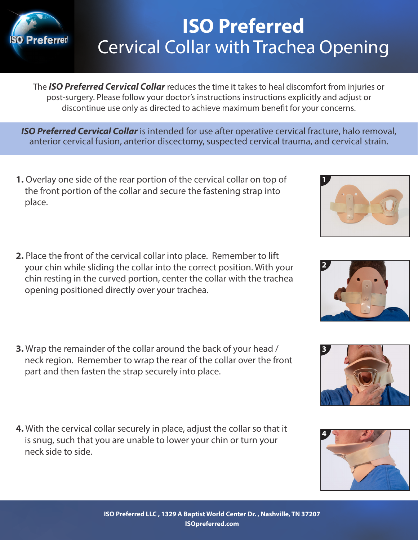

# **ISO Preferred** Cervical Collar with Trachea Opening

The *ISO Preferred Cervical Collar* reduces the time it takes to heal discomfort from injuries or post-surgery. Please follow your doctor's instructions instructions explicitly and adjust or discontinue use only as directed to achieve maximum benefit for your concerns.

*ISO Preferred Cervical Collar* is intended for use after operative cervical fracture, halo removal, anterior cervical fusion, anterior discectomy, suspected cervical trauma, and cervical strain.

- **1.** Overlay one side of the rear portion of the cervical collar on top of the front portion of the collar and secure the fastening strap into place.
- **2.** Place the front of the cervical collar into place. Remember to lift your chin while sliding the collar into the correct position. With your chin resting in the curved portion, center the collar with the trachea opening positioned directly over your trachea.
- **3.** Wrap the remainder of the collar around the back of your head / neck region. Remember to wrap the rear of the collar over the front part and then fasten the strap securely into place.
- **4.** With the cervical collar securely in place, adjust the collar so that it is snug, such that you are unable to lower your chin or turn your neck side to side.